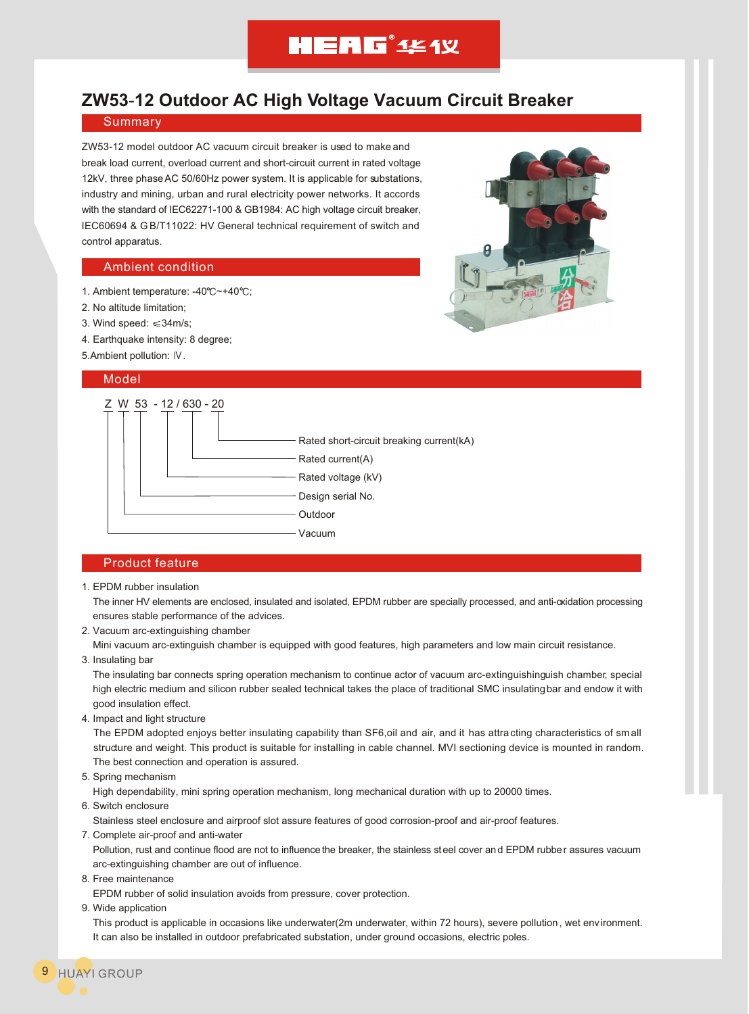# **HEAG**<sup>\*</sup> 444 Y

# **ZW53**-**12 Outdoor AC High Voltage Vacuum Circuit Breaker**

### **Summary**

ZW53-12 model outdoor AC vacuum circuit breaker is used to make and break load current, overload current and short-circuit current in rated voltage 12kV, three phase AC 50/60Hz power system. It is applicable for substations, industry and mining, urban and rural electricity power networks. It accords with the standard of IEC62271-100 & GB1984: AC high voltage circuit breaker, IEC60694 & G B/T11022: HV General technical requirement of switch and control apparatus.

### Ambient condition

- 1. Ambient temperature: -40°C~+40°C;
- 2. No altitude limitation;
- 3. Wind speed:  $\leq 34$ m/s;
- 4. Earthquake intensity: 8 degree;
- 5.Ambient pollution: IV.

#### Model



## Product feature

1. EPDM rubber insulation

 The inner HV elements are enclosed, insulated and isolated, EPDM rubber are specially processed, and anti-oxidation processing ensures stable performance of the advices.

2. Vacuum arc-extinguishing chamber

Mini vacuum arc-extinguish chamber is equipped with good features, high parameters and low main circuit resistance.

3. Insulating bar

 The insulating bar connects spring operation mechanism to continue actor of vacuum arc-extinguishinguish chamber, special high electric medium and silicon rubber sealed technical takes the place of traditional SMC insulating bar and endow it with good insulation effect.

4. Impact and light structure

The EPDM adopted enjoys better insulating capability than SF6,oil and air, and it has attra cting characteristics of small structure and weight. This product is suitable for installing in cable channel. MVI sectioning device is mounted in random. The best connection and operation is assured.

5. Spring mechanism

High dependability, mini spring operation mechanism, long mechanical duration with up to 20000 times.

6. Switch enclosure

Stainless steel enclosure and airproof slot assure features of good corrosion-proof and air-proof features.

7. Complete air-proof and anti-water

 Pollution, rust and continue flood are not to influence the breaker, the stainless steel cover and EPDM rubber assures vacuum arc-extinguishing chamber are out of influence.

8. Free maintenance

EPDM rubber of solid insulation avoids from pressure, cover protection.

9. Wide application

 This product is applicable in occasions like underwater(2m underwater, within 72 hours), severe pollution, wet env ironment. It can also be installed in outdoor prefabricated substation, under ground occasions, electric poles.